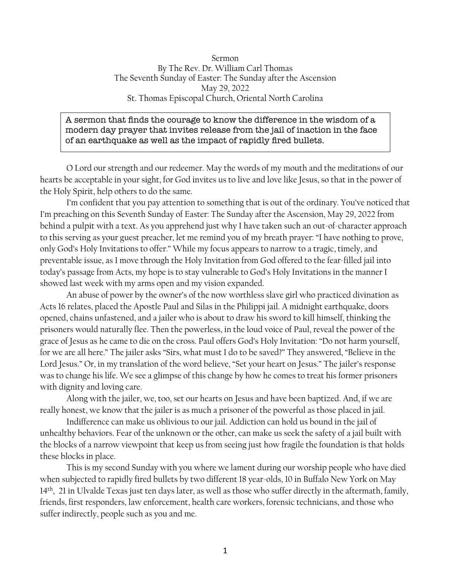Sermon By The Rev. Dr. William Carl Thomas The Seventh Sunday of Easter: The Sunday after the Ascension May 29, 2022 St. Thomas Episcopal Church, Oriental North Carolina

## A sermon that finds the courage to know the difference in the wisdom of a modern day prayer that invites release from the jail of inaction in the face of an earthquake as well as the impact of rapidly fired bullets.

O Lord our strength and our redeemer. May the words of my mouth and the meditations of our hearts be acceptable in your sight, for God invites us to live and love like Jesus, so that in the power of the Holy Spirit, help others to do the same.

I'm confident that you pay attention to something that is out of the ordinary. You've noticed that I'm preaching on this Seventh Sunday of Easter: The Sunday after the Ascension, May 29, 2022 from behind a pulpit with a text. As you apprehend just why I have taken such an out-of-character approach to this serving as your guest preacher, let me remind you of my breath prayer: "I have nothing to prove, only God's Holy Invitations to offer." While my focus appears to narrow to a tragic, timely, and preventable issue, as I move through the Holy Invitation from God offered to the fear-filled jail into today's passage from Acts, my hope is to stay vulnerable to God's Holy Invitations in the manner I showed last week with my arms open and my vision expanded.

An abuse of power by the owner's of the now worthless slave girl who practiced divination as Acts 16 relates, placed the Apostle Paul and Silas in the Philippi jail. A midnight earthquake, doors opened, chains unfastened, and a jailer who is about to draw his sword to kill himself, thinking the prisoners would naturally flee. Then the powerless, in the loud voice of Paul, reveal the power of the grace of Jesus as he came to die on the cross. Paul offers God's Holy Invitation: "Do not harm yourself, for we are all here." The jailer asks "Sirs, what must I do to be saved?" They answered, "Believe in the Lord Jesus." Or, in my translation of the word believe, "Set your heart on Jesus." The jailer's response was to change his life. We see a glimpse of this change by how he comes to treat his former prisoners with dignity and loving care.

Along with the jailer, we, too, set our hearts on Jesus and have been baptized. And, if we are really honest, we know that the jailer is as much a prisoner of the powerful as those placed in jail.

Indifference can make us oblivious to our jail. Addiction can hold us bound in the jail of unhealthy behaviors. Fear of the unknown or the other, can make us seek the safety of a jail built with the blocks of a narrow viewpoint that keep us from seeing just how fragile the foundation is that holds these blocks in place.

This is my second Sunday with you where we lament during our worship people who have died when subjected to rapidly fired bullets by two different 18 year-olds, 10 in Buffalo New York on May 14th, 21 in Ulvalde Texas just ten days later, as well as those who suffer directly in the aftermath, family, friends, first responders, law enforcement, health care workers, forensic technicians, and those who suffer indirectly, people such as you and me.